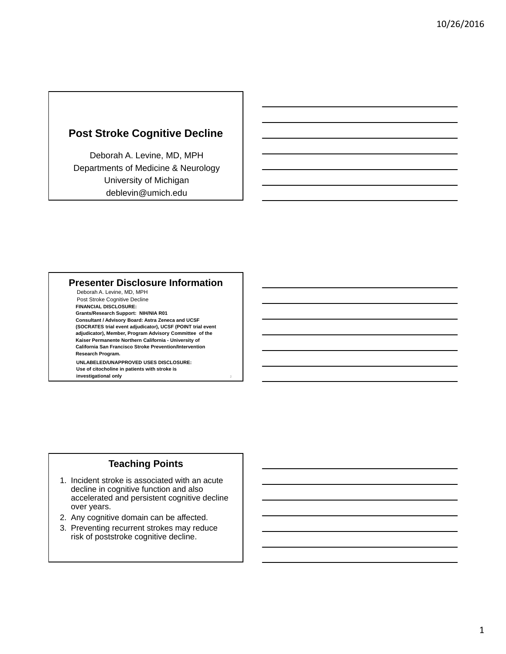## **Post Stroke Cognitive Decline**

Deborah A. Levine, MD, MPH Departments of Medicine & Neurology University of Michigan deblevin@umich.edu

#### **Presenter Disclosure Information**

Deborah A. Levine, MD, MPH Post Stroke Cognitive Decline **FINANCIAL DISCLOSURE: Grants/Research Support: NIH/NIA R01 Consultant / Advisory Board: Astra Zeneca and UCSF (SOCRATES trial event adjudicator), UCSF (POINT trial event adjudicator), Member, Program Advisory Committee of the Kaiser Permanente Northern California - University of California San Francisco Stroke Prevention/Intervention Research Program. UNLABELED/UNAPPROVED USES DISCLOSURE:**

**Use of citocholine in patients with stroke is investigational only**

### **Teaching Points**

- 1. Incident stroke is associated with an acute decline in cognitive function and also accelerated and persistent cognitive decline over years.
- 2. Any cognitive domain can be affected.
- 3. Preventing recurrent strokes may reduce risk of poststroke cognitive decline.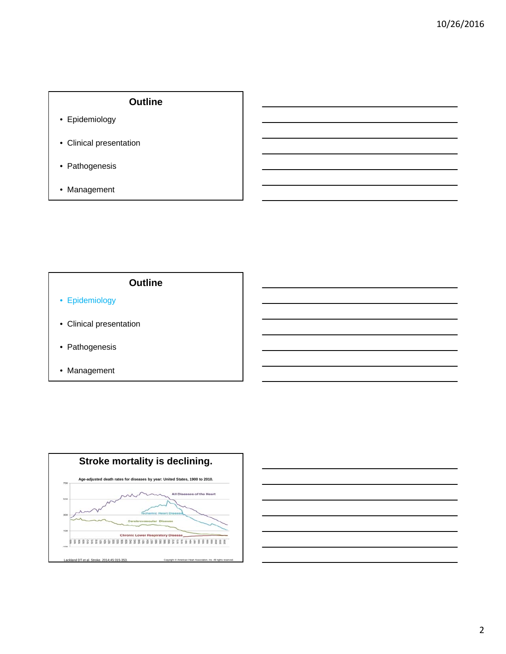## **Outline**

- Epidemiology
- Clinical presentation
- Pathogenesis
- Management

- Epidemiology
- Clinical presentation
- Pathogenesis
- Management



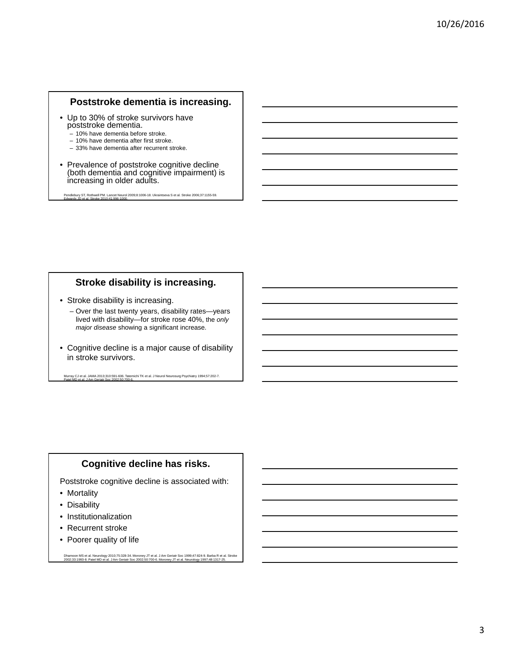## **Poststroke dementia is increasing.**

- Up to 30% of stroke survivors have poststroke dementia.
	- 10% have dementia before stroke.
	- 10% have dementia after first stroke.
	- 33% have dementia after recurrent stroke.
- Prevalence of poststroke cognitive decline (both dementia and cognitive impairment) is increasing in older adults.

Pendlebury ST, Rothwell PM. Lancet Neurol 2009;8:1006-18. Ukraintseva S et al. Stroke 2006;37:1155-59. Edwards JD et al. Stroke 2010;41:996-1000.

#### **Stroke disability is increasing.**

- Stroke disability is increasing.
	- Over the last twenty years, disability rates—years lived with disability—for stroke rose 40%, the *only major disease* showing a significant increase.
- Cognitive decline is a major cause of disability in stroke survivors.

Murray CJ et al. JAMA 2013;310:591-606. Tatemichi TK et al. J Neurol Neurosurg Psychiatry 1994;57:202-7. Patel MD et al. J Am Geriatr Soc 2002;50:700-6.

#### **Cognitive decline has risks.**

Poststroke cognitive decline is associated with:

- Mortality
- Disability
- Institutionalization
- Recurrent stroke
- Poorer quality of life

Dhamoon MS et al. Neurology 2010;75:328-34. Moroney JT et al. J Am Geriatr Soc 1999;47:824-9. Barba R et al. Stroke<br>2002;33:1993-8. Patel MD et al. J Am Geriatr Soc 2002;50:700-6. Moroney JT et al. Neurology 1997;48:1317-2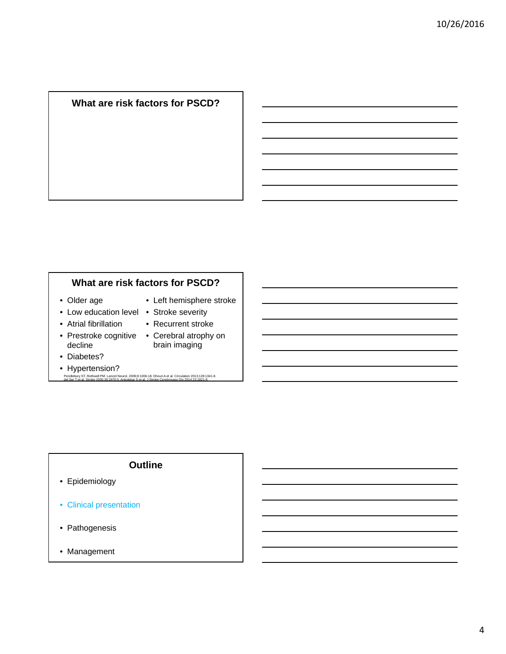## **What are risk factors for PSCD?**

#### **What are risk factors for PSCD?**

- Older age
- Left hemisphere stroke
- Low education level Stroke severity • Atrial fibrillation
- - Recurrent stroke
- decline
- Prestroke cognitive Cerebral atrophy on brain imaging
- Diabetes?
- 
- Hypertension? Pendlebury ST, Rothwell PM. Lancet Neurol. 2009;8:1006-18. Dhouri A et al. Circulation 2013;128:1341-8. del Ser T et al. Stroke 2005;36:2670-5. Ankolekar S et al. J Stroke Cerebrovasc Dis 2014;23:1821-9.

- Epidemiology
- Clinical presentation
- Pathogenesis
- Management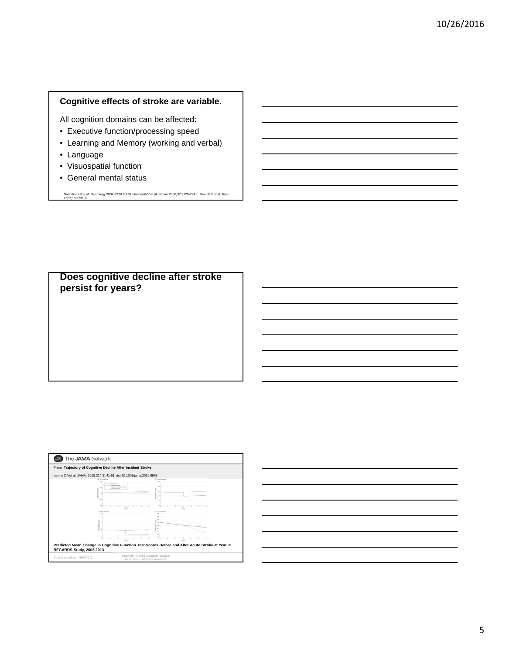#### **Cognitive effects of stroke are variable.**

All cognition domains can be affected:

- Executive function/processing speed
- Learning and Memory (working and verbal)
- Language
- Visuospatial function
- General mental status

Sachdev PS et al. Neurology 2004;62:912-919. Hachinski V et al. Stroke 2006;37:2220-2241. Reed BR et al. Brain 2007;130:731-9.

**Does cognitive decline after stroke persist for years?**



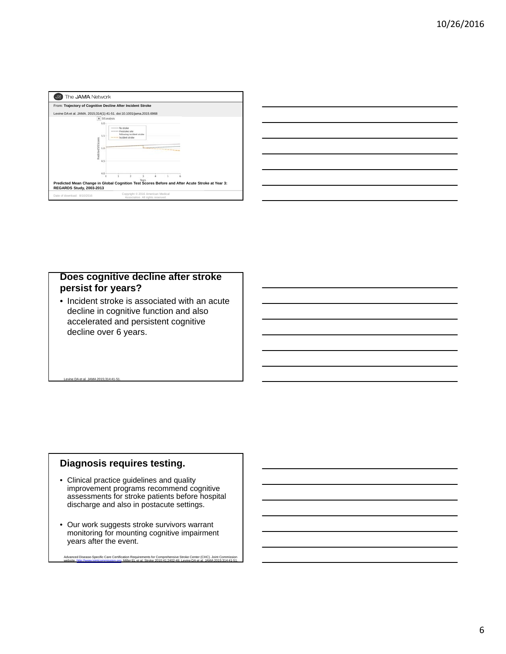| From: Trajectory of Cognitive Decline After Incident Stroke |                                                                                                                     |  |
|-------------------------------------------------------------|---------------------------------------------------------------------------------------------------------------------|--|
|                                                             | Levine DA et al. JAMA. 2015;314(1):41-51. doi:10.1001/jama.2015.6968<br>A 515 analysis                              |  |
| 6.0<br>5.5                                                  | No stroke<br>seemed Prestrike rate<br>following incident stroke<br>---- Incident stroke                             |  |
| <b>Predicted SIS Scores</b><br>5.0<br>4.5                   | *******************                                                                                                 |  |
| 4.0<br>REGARDS Study, 2003-2013                             | $\circ$<br>Years.<br>Predicted Mean Change in Global Cognition Test Scores Before and After Acute Stroke at Year 3: |  |

|  |  | <u> 1989 - Johann Stoff, deutscher Stoff, der Stoff, der Stoff, der Stoff, der Stoff, der Stoff, der Stoff, der S</u> |  |
|--|--|-----------------------------------------------------------------------------------------------------------------------|--|
|  |  |                                                                                                                       |  |
|  |  |                                                                                                                       |  |
|  |  |                                                                                                                       |  |
|  |  |                                                                                                                       |  |
|  |  |                                                                                                                       |  |
|  |  |                                                                                                                       |  |
|  |  |                                                                                                                       |  |

## **Does cognitive decline after stroke persist for years?**

• Incident stroke is associated with an acute decline in cognitive function and also accelerated and persistent cognitive decline over 6 years.

#### Levine DA et al. JAMA 2015;314:41-51.

### **Diagnosis requires testing.**

- Clinical practice guidelines and quality improvement programs recommend cognitive assessments for stroke patients before hospital discharge and also in postacute settings.
- Our work suggests stroke survivors warrant monitoring for mounting cognitive impairment years after the event.

```
Advanced Disease-Specific Care Certification Requirements for Comprehensive Stroke Center (CHC). Joint Commission<br>website, http://www.jointcommission.org. Miller EL et al. Stroke 2010:41:2402-48. Levine DA et al. JAMA 2015
```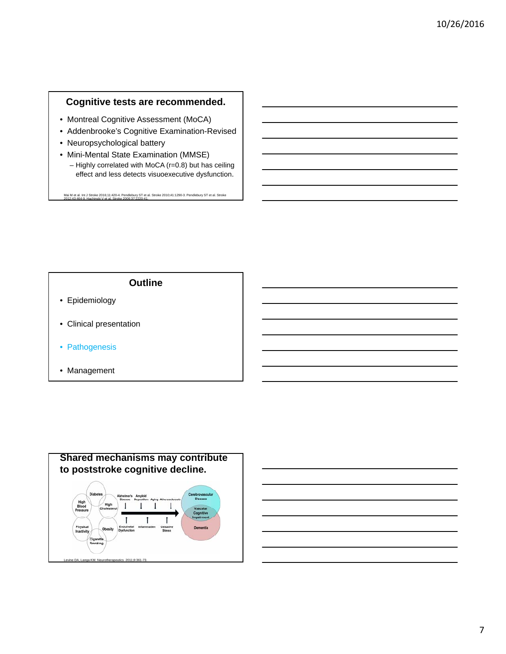## **Cognitive tests are recommended.**

- Montreal Cognitive Assessment (MoCA)
- Addenbrooke's Cognitive Examination-Revised
- Neuropsychological battery
- Mini-Mental State Examination (MMSE)
	- Highly correlated with MoCA (r=0.8) but has ceiling effect and less detects visuoexecutive dysfunction.

Mai M et al. Int J Stroke 2016;11:420-4. Pendlebury ST et al. Stroke 2010;41:1290-3. Pendlebury ST et al. Stroke 2012;43:464-9. Hachinski V et al. Stroke 2006;37:2220-41.

- Epidemiology
- Clinical presentation
- Pathogenesis
- Management



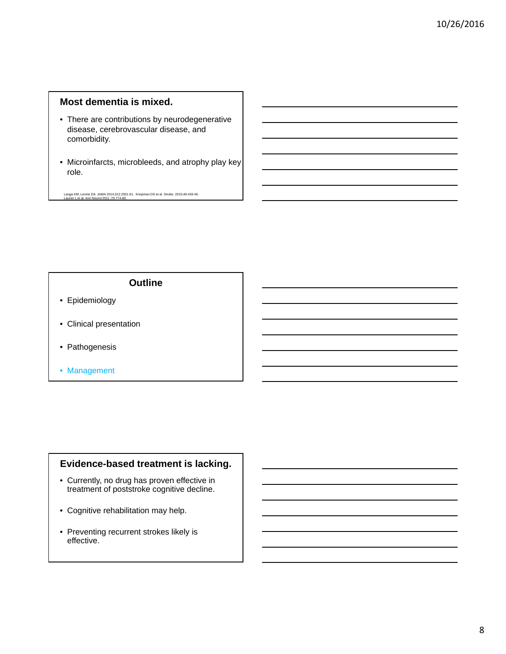## **Most dementia is mixed.**

- There are contributions by neurodegenerative disease, cerebrovascular disease, and comorbidity.
- Microinfarcts, microbleeds, and atrophy play key role.

Langa KM, Levine DA. JAMA 2014;312:2551-61. Knopman DS et al. Stroke. 2015;46:433-40. Launer L et al. Ann Neurol 2011 ;70:774-80.

#### **Outline**

- Epidemiology
- Clinical presentation
- Pathogenesis
- Management

#### **Evidence-based treatment is lacking.**

- Currently, no drug has proven effective in treatment of poststroke cognitive decline.
- Cognitive rehabilitation may help.
- Preventing recurrent strokes likely is effective.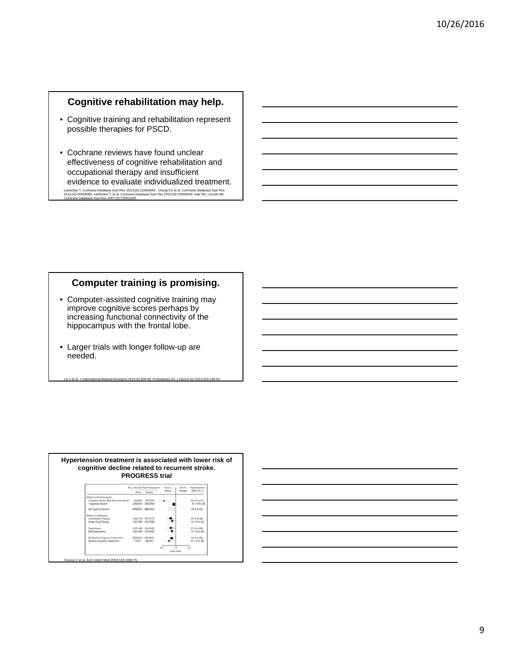## **Cognitive rehabilitation may help.**

- Cognitive training and rehabilitation represent possible therapies for PSCD.
- Cochrane reviews have found unclear effectiveness of cognitive rehabilitation and occupational therapy and insufficient evidence to evaluate individualized treatment. Loetscher T. Cochrane Database Syst Rev. 2013;(5):CD002842.. Chung CS et al Cochrane Database Syst Rev.<br>2013;(4):CD008391. Hoffmann T, et al. Cochrane Database Syst Rev 2010;(9):CD006430. Nair RD, Lincoln NB.<br>Cochrane Dat

## **Computer training is promising.**

• Computer-assisted cognitive training may improve cognitive scores perhaps by increasing functional connectivity of the hippocampus with the frontal lobe.

Lin Z et al. J International Medical Research 2014;42:659-68. Prokopenko SV. J Neurol Sci 2013;325:148-53.

• Larger trials with longer follow-up are needed.

|                                                                                                 | Active  | No. of Events/Total Participants<br>Placebo | Fautes<br>Active | Favors<br>Placebo | Risk Reduction<br>(95% CI), %  |
|-------------------------------------------------------------------------------------------------|---------|---------------------------------------------|------------------|-------------------|--------------------------------|
| Effects in All Participants<br>'Cognitive Decline With Recurrent Stroke"<br>"Cognitive Decline" | 48/3051 | \$6/3054<br>228/3051 248/3054               |                  |                   | 45 (21 to 61)<br>9 (-10 to 24) |
| All Cognitive Decline                                                                           |         | 276/3051 334/3054                           |                  |                   | 19 (4 to 37)                   |
| Effects in Subprouss<br>Combination Therapy<br>Single Drug Therapy                              |         | 144/1775 181/1774<br>132/1281 153/1280      |                  |                   | 22 (2 to 38).<br>$15(-8 + 34)$ |
| Hypertensive<br><b>Not Hypertensive</b>                                                         |         | 133/1464 164/1452<br>143/1587 170/1602      |                  |                   | 21 (0 to 38)<br>17 (-6 to 35)  |
| No Baseline Cognitive Impairment<br>Baseline Cognitive Impairment                               | 71/477  | 205/2574 244/2591<br>90/463                 |                  |                   | 18 (0 to 32)<br>27 (-2 to 48)  |

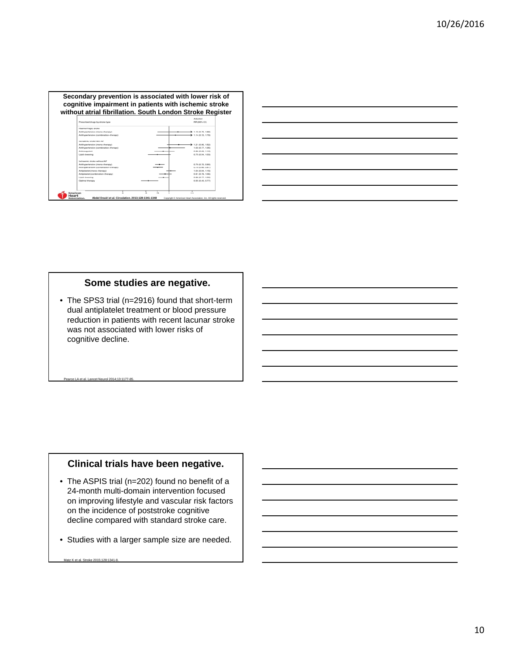

| <u> 1989 - Johann Barbara, martxa alemaniar argamento este alemaniar alemaniar alemaniar alemaniar alemaniar a</u>    |                                                                                  |  |  |
|-----------------------------------------------------------------------------------------------------------------------|----------------------------------------------------------------------------------|--|--|
|                                                                                                                       |                                                                                  |  |  |
| <u> Andreas Andrews Andrews Andrews Andrews Andrews Andrews Andrews Andrews Andrews Andrews Andrews Andrews Andr</u>  |                                                                                  |  |  |
|                                                                                                                       | ,我们也不会有什么?""我们的人,我们也不会有什么?""我们的人,我们也不会有什么?""我们的人,我们也不会有什么?""我们的人,我们也不会有什么?""我们的人 |  |  |
|                                                                                                                       |                                                                                  |  |  |
| <u>a sa salawan sa sana sa sana sa sana sa sana sa sana sa sana sa sana sa sana sa sana sa sana sa sana sa sana s</u> |                                                                                  |  |  |
|                                                                                                                       |                                                                                  |  |  |

#### **Some studies are negative.**

• The SPS3 trial (n=2916) found that short-term dual antiplatelet treatment or blood pressure reduction in patients with recent lacunar stroke was not associated with lower risks of cognitive decline.

#### Pearce LA et al. Lancet Neurol 2014;13:1177-85.

#### **Clinical trials have been negative.**

- The ASPIS trial (n=202) found no benefit of a 24-month multi-domain intervention focused on improving lifestyle and vascular risk factors on the incidence of poststroke cognitive decline compared with standard stroke care.
- Studies with a larger sample size are needed.

```
Matz K et al. Stroke 2015;128:1341-8.
```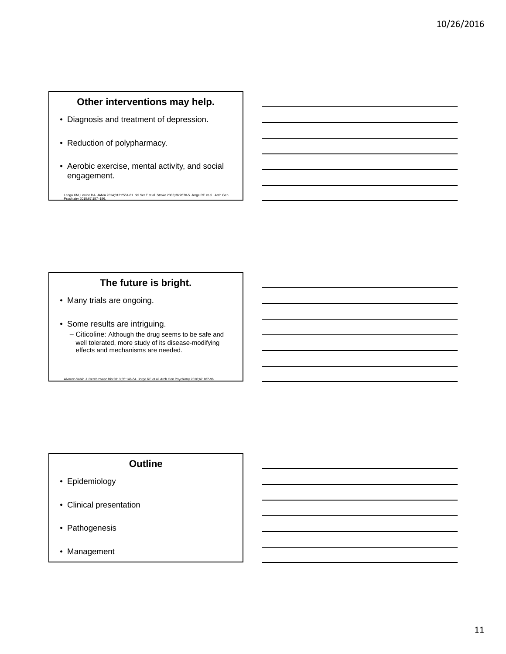## **Other interventions may help.**

- Diagnosis and treatment of depression.
- Reduction of polypharmacy.
- Aerobic exercise, mental activity, and social engagement.

Langa KM, Levine DA. JAMA 2014;312:2551-61. del Ser T et al. Stroke 2005;36:2670-5. Jorge RE et al . Arch Gen Psychiatry 2010;67:187–196.

## **The future is bright.**

- Many trials are ongoing.
- Some results are intriguing.
	- Citicoline: Although the drug seems to be safe and well tolerated, more study of its disease-modifying effects and mechanisms are needed.

Alvarez-Sabín J. Cerebrovasc Dis 2013;35:146-54. Jorge RE et al. Arch Gen Psychiatry 2010;67:187-96.

- Epidemiology
- Clinical presentation
- Pathogenesis
- Management